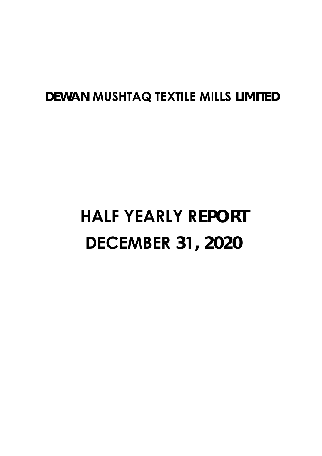# **DEWAN MUSHTAQ TEXTILE MILLS LIMITED**

# **HALF YEARLY REPORT DECEMBER 31, 2020**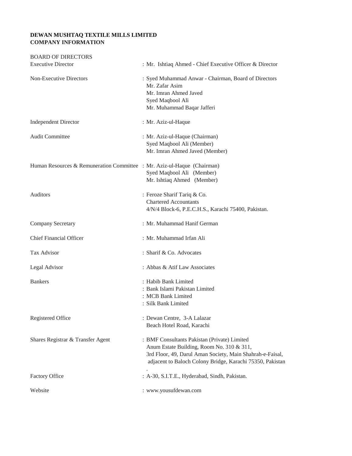### **DEWAN MUSHTAQ TEXTILE MILLS LIMITED COMPANY INFORMATION**

| <b>BOARD OF DIRECTORS</b>                                               |                                                                                                                                                                                                                     |
|-------------------------------------------------------------------------|---------------------------------------------------------------------------------------------------------------------------------------------------------------------------------------------------------------------|
| <b>Executive Director</b>                                               | : Mr. Ishtiaq Ahmed - Chief Executive Officer & Director                                                                                                                                                            |
| Non-Executive Directors                                                 | : Syed Muhammad Anwar - Chairman, Board of Directors<br>Mr. Zafar Asim<br>Mr. Imran Ahmed Javed<br>Syed Maqbool Ali<br>Mr. Muhammad Baqar Jafferi                                                                   |
| <b>Independent Director</b>                                             | : Mr. Aziz-ul-Haque                                                                                                                                                                                                 |
| <b>Audit Committee</b>                                                  | : Mr. Aziz-ul-Haque (Chairman)<br>Syed Maqbool Ali (Member)<br>Mr. Imran Ahmed Javed (Member)                                                                                                                       |
| Human Resources & Remuneration Committee : Mr. Aziz-ul-Haque (Chairman) | Syed Maqbool Ali (Member)<br>Mr. Ishtiaq Ahmed (Member)                                                                                                                                                             |
| <b>Auditors</b>                                                         | : Feroze Sharif Tariq & Co.<br><b>Chartered Accountants</b><br>4/N/4 Block-6, P.E.C.H.S., Karachi 75400, Pakistan.                                                                                                  |
| <b>Company Secretary</b>                                                | : Mr. Muhammad Hanif German                                                                                                                                                                                         |
| <b>Chief Financial Officer</b>                                          | : Mr. Muhammad Irfan Ali                                                                                                                                                                                            |
| Tax Advisor                                                             | : Sharif & Co. Advocates                                                                                                                                                                                            |
| Legal Advisor                                                           | : Abbas & Atif Law Associates                                                                                                                                                                                       |
| <b>Bankers</b>                                                          | : Habib Bank Limited<br>: Bank Islami Pakistan Limited<br>: MCB Bank Limited<br>: Silk Bank Limited                                                                                                                 |
| Registered Office                                                       | : Dewan Centre, 3-A Lalazar<br>Beach Hotel Road, Karachi                                                                                                                                                            |
| Shares Registrar & Transfer Agent                                       | : BMF Consultants Pakistan (Private) Limited<br>Anum Estate Building, Room No. 310 & 311,<br>3rd Floor, 49, Darul Aman Society, Main Shahrah-e-Faisal,<br>adjacent to Baloch Colony Bridge, Karachi 75350, Pakistan |
| <b>Factory Office</b>                                                   | : A-30, S.I.T.E., Hyderabad, Sindh, Pakistan.                                                                                                                                                                       |
| Website                                                                 | : www.yousufdewan.com                                                                                                                                                                                               |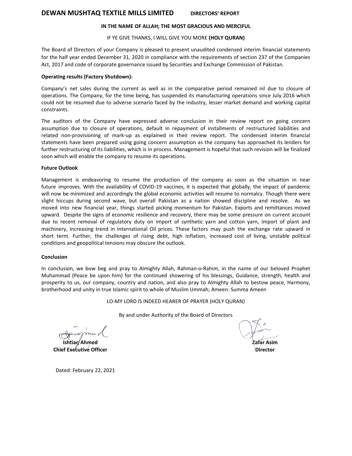# **DEWAN MUSHTAQ TEXTILE MILLS LIMITED DIRECTORS' REPORT**

#### **IN THE NAME OF ALLAH; THE MOST GRACIOUS AND MERCIFUL**

#### IF YE GIVE THANKS, I WILL GIVE YOU MORE **(HOLY QURAN)**

The Board of Directors of your Company is pleased to present unaudited condensed interim financial statements for the half year ended December 31, 2020 in compliance with the requirements of section 237 of the Companies Act, 2017 and code of corporate governance issued by Securities and Exchange Commission of Pakistan.

#### **Operating results (Factory Shutdown):**

Company's net sales during the current as well as in the comparative period remained nil due to closure of operations. The Company, for the time being, has suspended its manufacturing operations since July 2016 which could not be resumed due to adverse scenario faced by the industry, lesser market demand and working capital constraints.

The auditors of the Company have expressed adverse conclusion in their review report on going concern assumption due to closure of operations, default in repayment of installments of restructured liabilities and related non-provisioning of mark-up as explained in their review report. The condensed interim financial statements have been prepared using going concern assumption as the company has approached its lenders for further restructuring of its liabilities, which is in process. Management is hopeful that such revision will be finalized soon which will enable the company to resume its operations.

#### **Future Outlook**

Management is endeavoring to resume the production of the company as soon as the situation in near future improves. With the availability of COVID-19 vaccines, it is expected that globally, the impact of pandemic will now be minimized and accordingly the global economic activities will resume to normalcy. Though there were slight hiccups during second wave, but overall Pakistan as a nation showed discipline and resolve. As we moved into new financial year, things started picking momentum for Pakistan. Exports and remittances moved upward. Despite the signs of economic resilience and recovery, there may be some pressure on current account due to recent removal of regulatory duty on import of synthetic yarn and cotton yarn, import of plant and machinery, increasing trend in international Oil prices. These factors may push the exchange rate upward in short term. Further, the challenges of rising debt, high inflation, increased cost of living, unstable political conditions and geopolitical tensions may obscure the outlook.

#### **Conclusion**

In conclusion, we bow beg and pray to Almighty Allah, Rahman-o-Rahim, in the name of our beloved Prophet Muhammad (Peace be upon him) for the continued showering of his blessings, Guidance, strength, health and prosperity to us, our company, country and nation, and also pray to Almighty Allah to bestow peace, Harmony, brotherhood and unity in true Islamic spirit to whole of Muslim Ummah; Ameen: Summa Ameen

LO-MY LORD IS INDEED HEARER OF PRAYER (HOLY QURAN)

By and under Authority of the Board of Directors

**Ishtiaq Ahmed Chief Executive Officer** 

**Zafar Asim**

**Director**

Dated: February 22, 2021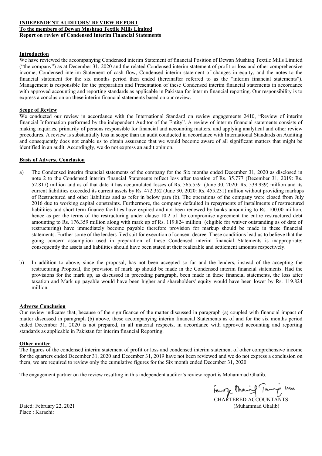#### **INDEPENDENT AUDITORS' REVIEW REPORT To the members of Dewan Mushtaq Textile Mills Limited Report on review of Condensed Interim Financial Statements**

#### **Introduction**

We have reviewed the accompanying Condensed interim Statement of financial Position of Dewan Mushtaq Textile Mills Limited ("the company") as at December 31, 2020 and the related Condensed interim statement of profit or loss and other comprehensive income, Condensed interim Statement of cash flow, Condensed interim statement of changes in equity, and the notes to the financial statement for the six months period then ended (hereinafter referred to as the "interim financial statements"). Management is responsible for the preparation and Presentation of these Condensed interim financial statements in accordance with approved accounting and reporting standards as applicable in Pakistan for interim financial reporting. Our responsibility is to express a conclusion on these interim financial statements based on our review.

#### **Scope of Review**

We conducted our review in accordance with the International Standard on review engagements 2410, "Review of interim financial Information performed by the independent Auditor of the Entity". A review of interim financial statements consists of making inquiries, primarily of persons responsible for financial and accounting matters, and applying analytical and other review procedures. A review is substantially less in scope than an audit conducted in accordance with International Standards on Auditing and consequently does not enable us to obtain assurance that we would become aware of all significant matters that might be identified in an audit. Accordingly, we do not express an audit opinion.

#### **Basis of Adverse Conclusion**

- a) The Condensed interim financial statements of the company for the Six months ended December 31, 2020 as disclosed in note 2 to the Condensed interim financial Statements reflect loss after taxation of Rs. 35.777 (December 31, 2019: Rs. 52.817) million and as of that date it has accumulated losses of Rs. 565.559 (June 30, 2020: Rs. 539.939) million and its current liabilities exceeded its current assets by Rs. 472.352 (June 30, 2020: Rs. 455.231) million without providing markups of Restructured and other liabilities and as refer in below para (b). The operations of the company were closed from July 2016 due to working capital constraints. Furthermore, the company defaulted in repayments of installments of restructured liabilities and short term finance facilities have expired and not been renewed by banks amounting to Rs. 100.00 million, hence as per the terms of the restructuring under clause 10.2 of the compromise agreement the entire restructured debt amounting to Rs. 176.359 million along with mark up of Rs. 119.824 million (eligible for waiver outstanding as of date of restructuring) have immediately become payable therefore provision for markup should be made in these financial statements. Further some of the lenders filed suit for execution of consent decree. These conditions lead us to believe that the going concern assumption used in preparation of these Condensed interim financial Statements is inappropriate; consequently the assets and liabilities should have been stated at their realizable and settlement amounts respectively.
- b) In addition to above, since the proposal, has not been accepted so far and the lenders, instead of the accepting the restructuring Proposal, the provision of mark up should be made in the Condensed interim financial statements. Had the provisions for the mark up, as discussed in preceding paragraph, been made in these financial statements, the loss after taxation and Mark up payable would have been higher and shareholders' equity would have been lower by Rs. 119.824 million.

#### **Adverse Conclusion**

Our review indicates that, because of the significance of the matter discussed in paragraph (a) coupled with financial impact of matter discussed in paragraph (b) above, these accompanying interim financial Statements as of and for the six months period ended December 31, 2020 is not prepared, in all material respects, in accordance with approved accounting and reporting standards as applicable in Pakistan for interim financial Reporting.

# **Other matter**

The figures of the condensed interim statement of profit or loss and condensed interim statement of other comprehensive income for the quarters ended December 31, 2020 and December 31, 2019 have not been reviewed and we do not express a conclusion on them, we are required to review only the cumulative figures for the Six month ended December 31, 2020.

The engagement partner on the review resulting in this independent auditor's review report is Mohammad Ghalib.

Feurge Change Tours 4 Dated: February 22, 2021 (Muhammad Ghalib)

Place : Karachi: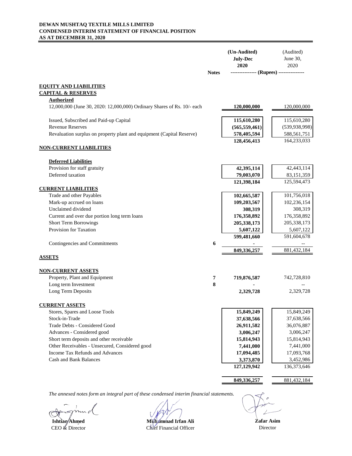#### **DEWAN MUSHTAQ TEXTILE MILLS LIMITED CONDENSED INTERIM STATEMENT OF FINANCIAL POSITION AS AT DECEMBER 31, 2020**

|                                                                         |              | (Un-Audited)<br><b>July-Dec</b><br>2020 | (Audited)<br>June 30,<br>2020 |
|-------------------------------------------------------------------------|--------------|-----------------------------------------|-------------------------------|
|                                                                         | <b>Notes</b> | -------------- (Rupees) --------------  |                               |
| <b>EQUITY AND LIABILITIES</b>                                           |              |                                         |                               |
| <b>CAPITAL &amp; RESERVES</b>                                           |              |                                         |                               |
| <b>Authorized</b>                                                       |              |                                         |                               |
| 12,000,000 (June 30, 2020: 12,000,000) Ordinary Shares of Rs. 10/- each |              | <u>120,000,000</u>                      | 120,000,000                   |
| Issued, Subscribed and Paid-up Capital                                  |              | 115,610,280                             | 115,610,280                   |
| <b>Revenue Reserves</b>                                                 |              | (565, 559, 461)                         | (539, 938, 998)               |
| Revaluation surplus on property plant and equipment (Capital Reserve)   |              | 578,405,594                             | 588,561,751                   |
|                                                                         |              | 128,456,413                             | 164,233,033                   |
| <b>NON-CURRENT LIABILITIES</b>                                          |              |                                         |                               |
| <b>Deferred Liabilities</b>                                             |              |                                         |                               |
| Provision for staff gratuity                                            |              | 42,395,114                              | 42,443,114                    |
| Deferred taxation                                                       |              | 79,003,070                              | 83,151,359                    |
|                                                                         |              | 121,398,184                             | 125,594,473                   |
| <b>CURRENT LIABILITIES</b>                                              |              |                                         | 101,756,018                   |
| Trade and other Payables<br>Mark-up accrued on loans                    |              | 102,665,587<br>109,203,567              | 102,236,154                   |
| Unclaimed dividend                                                      |              | 308,319                                 | 308,319                       |
| Current and over due portion long term loans                            |              | 176,358,892                             | 176,358,892                   |
| <b>Short Term Borrowings</b>                                            |              | 205,338,173                             | 205, 338, 173                 |
| Provision for Taxation                                                  |              | 5,607,122                               | 5,607,122                     |
|                                                                         |              | 599,481,660                             | 591,604,678                   |
| Contingencies and Commitments                                           | 6            |                                         |                               |
|                                                                         |              | 849,336,257                             | 881,432,184                   |
| <b>ASSETS</b>                                                           |              |                                         |                               |
| <u>NON-CURRENT ASSETS</u>                                               |              |                                         |                               |
| Property, Plant and Equipment                                           | 7            | 719,876,587                             | 742,728,810                   |
| Long term Investment                                                    | 8            |                                         |                               |
| Long Term Deposits                                                      |              | 2,329,728                               | 2,329,728                     |
| <b>CURRENT ASSETS</b>                                                   |              |                                         |                               |
| Stores, Spares and Loose Tools                                          |              | 15,849,249                              | 15,849,249                    |
| Stock-in-Trade                                                          |              | 37,638,566                              | 37,638,566                    |
| Trade Debts - Considered Good                                           |              | 26,911,582                              | 36,076,887                    |
| Advances - Considered good                                              |              | 3,006,247                               | 3,006,247                     |
| Short term deposits and other receivable                                |              | 15,814,943                              | 15,814,943                    |
| Other Receivables - Unsecured, Considered good                          |              | 7,441,000                               | 7,441,000                     |
| Income Tax Refunds and Advances                                         |              | 17,094,485                              | 17,093,768                    |
| <b>Cash and Bank Balances</b>                                           |              | 3,373,870                               | 3,452,986                     |
|                                                                         |              | 127,129,942                             | 136,373,646                   |
|                                                                         |              | 849,336,257                             | 881,432,184                   |
|                                                                         |              |                                         |                               |

**Ishtiaq/Ahmed**<br> **CEO** & Director<br> **Chief Financial Officer** Chief Financial Officer

**Zafar Asim** Director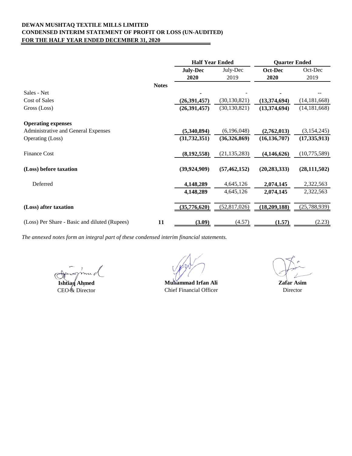#### **DEWAN MUSHTAQ TEXTILE MILLS LIMITED CONDENSED INTERIM STATEMENT OF PROFIT OR LOSS (UN-AUDITED) FOR THE HALF YEAR ENDED DECEMBER 31, 2020**  $\overline{ }$

|                                                     | <b>Half Year Ended</b> |                | <b>Quarter Ended</b> |                |
|-----------------------------------------------------|------------------------|----------------|----------------------|----------------|
|                                                     | <b>July-Dec</b>        | July-Dec       | Oct-Dec              | Oct-Dec        |
|                                                     | 2020                   | 2019           | 2020                 | 2019           |
| <b>Notes</b>                                        |                        |                |                      |                |
| Sales - Net                                         |                        |                |                      |                |
| Cost of Sales                                       | (26, 391, 457)         | (30, 130, 821) | (13,374,694)         | (14, 181, 668) |
| Gross (Loss)                                        | (26, 391, 457)         | (30, 130, 821) | (13,374,694)         | (14, 181, 668) |
| <b>Operating expenses</b>                           |                        |                |                      |                |
| Administrative and General Expenses                 | (5,340,894)            | (6,196,048)    | (2,762,013)          | (3,154,245)    |
| Operating (Loss)                                    | (31, 732, 351)         | (36,326,869)   | (16, 136, 707)       | (17, 335, 913) |
| <b>Finance Cost</b>                                 | (8, 192, 558)          | (21, 135, 283) | (4, 146, 626)        | (10,775,589)   |
| (Loss) before taxation                              | (39, 924, 909)         | (57, 462, 152) | (20, 283, 333)       | (28, 111, 502) |
| Deferred                                            | 4,148,289              | 4,645,126      | 2,074,145            | 2,322,563      |
|                                                     | 4,148,289              | 4,645,126      | 2,074,145            | 2,322,563      |
| (Loss) after taxation                               | (35,776,620)           | (52, 817, 026) | (18,209,188)         | (25,788,939)   |
| (Loss) Per Share - Basic and diluted (Rupees)<br>11 | (3.09)                 | (4.57)         | (1.57)               | (2.23)         |

**Ishtiaq Ahmed**

CEO<sup>/</sup>& Director

**Muhammad Irfan Ali Zafar Asim** Chief Financial Officer

Director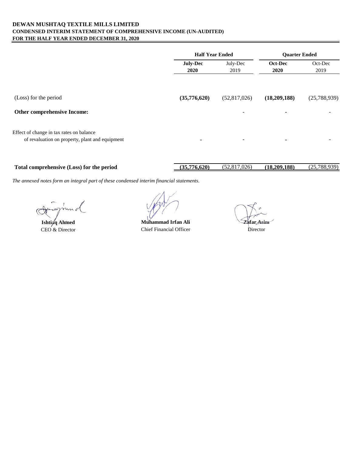#### **DEWAN MUSHTAQ TEXTILE MILLS LIMITED CONDENSED INTERIM STATEMENT OF COMPREHENSIVE INCOME (UN-AUDITED) FOR THE HALF YEAR ENDED DECEMBER 31, 2020**

|                                                                                             | <b>Half Year Ended</b>  |                          | <b>Ouarter Ended</b>                     |                                          |
|---------------------------------------------------------------------------------------------|-------------------------|--------------------------|------------------------------------------|------------------------------------------|
|                                                                                             | <b>July-Dec</b><br>2020 | July-Dec<br>2019         | Oct-Dec<br>2020                          | Oct-Dec<br>2019                          |
| (Loss) for the period<br>Other comprehensive Income:                                        | (35,776,620)            | (52,817,026)             | (18,209,188)<br>$\overline{\phantom{0}}$ | (25,788,939)<br>$\overline{\phantom{0}}$ |
| Effect of change in tax rates on balance<br>of revaluation on property, plant and equipment | ۰                       | $\overline{\phantom{a}}$ | ٠                                        |                                          |

**Total comprehensive (Loss) for the period (35,776,620)** (52,817,026) **(18,209,188)** (25,788,939)

**Ishti** $q$ <sup>d</sup> Ahmed

CEO & Director Chief Financial Officer **Muhammad Irfan Ali**

**Zafar Asim** Director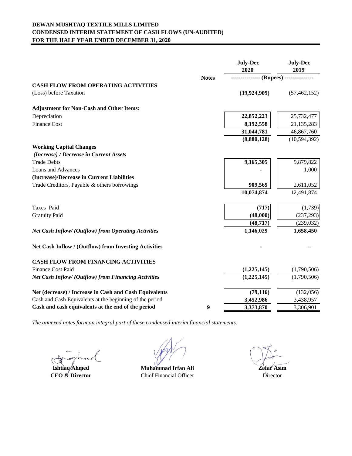# **DEWAN MUSHTAQ TEXTILE MILLS LIMITED CONDENSED INTERIM STATEMENT OF CASH FLOWS (UN-AUDITED) FOR THE HALF YEAR ENDED DECEMBER 31, 2020**

|                                                             |                  | <b>July-Dec</b><br>2020           | <b>July-Dec</b><br>2019 |
|-------------------------------------------------------------|------------------|-----------------------------------|-------------------------|
|                                                             | <b>Notes</b>     | --------------- (Rupees) -------- |                         |
| <b>CASH FLOW FROM OPERATING ACTIVITIES</b>                  |                  |                                   |                         |
| (Loss) before Taxation                                      |                  | (39, 924, 909)                    | (57, 462, 152)          |
| <b>Adjustment for Non-Cash and Other Items:</b>             |                  |                                   |                         |
| Depreciation                                                |                  | 22,852,223                        | 25,732,477              |
| <b>Finance Cost</b>                                         |                  | 8,192,558                         | 21,135,283              |
|                                                             |                  | 31,044,781                        | 46,867,760              |
|                                                             |                  | (8,880,128)                       | (10, 594, 392)          |
| <b>Working Capital Changes</b>                              |                  |                                   |                         |
| (Increase) / Decrease in Current Assets                     |                  |                                   |                         |
| <b>Trade Debts</b>                                          |                  | 9,165,305                         | 9,879,822               |
| <b>Loans and Advances</b>                                   |                  |                                   | 1,000                   |
| (Increase)/Decrease in Current Liabilities                  |                  |                                   |                         |
| Trade Creditors, Payable & others borrowings                |                  | 909,569                           | 2,611,052               |
|                                                             |                  | 10,074,874                        | 12,491,874              |
| Taxes Paid                                                  |                  | (717)                             | (1,739)                 |
| <b>Gratuity Paid</b>                                        |                  | (48,000)                          | (237, 293)              |
|                                                             |                  | (48, 717)                         | (239, 032)              |
| <b>Net Cash Inflow/ (Outflow) from Operating Activities</b> |                  | 1,146,029                         | 1,658,450               |
| Net Cash Inflow / (Outflow) from Investing Activities       |                  |                                   |                         |
| <b>CASH FLOW FROM FINANCING ACTIVITIES</b>                  |                  |                                   |                         |
| <b>Finance Cost Paid</b>                                    |                  | (1,225,145)                       | (1,790,506)             |
| Net Cash Inflow/ (Outflow) from Financing Activities        |                  | (1,225,145)                       | (1,790,506)             |
| Net (decrease) / Increase in Cash and Cash Equivalents      |                  | (79, 116)                         | (132,056)               |
| Cash and Cash Equivalents at the beginning of the period    |                  | 3,452,986                         | 3,438,957               |
| Cash and cash equivalents at the end of the period          | $\boldsymbol{9}$ | 3,373,870                         | 3,306,901               |

**Ishtiaq Ahmed CEO & Director**

**Muhammad Irfan Ali** Chief Financial Officer

**Zafar Asim** Director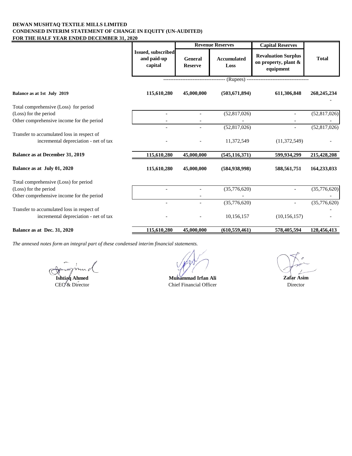#### **DEWAN MUSHTAQ TEXTILE MILLS LIMITED CONDENSED INTERIM STATEMENT OF CHANGE IN EQUITY (UN-AUDITED) FOR THE HALF YEAR ENDED DECEMBER 31, 2020**

|                                                                                     |                                                     | <b>Revenue Reserves</b>          |                            |                                                                 |                | <b>Capital Reserves</b> |  |
|-------------------------------------------------------------------------------------|-----------------------------------------------------|----------------------------------|----------------------------|-----------------------------------------------------------------|----------------|-------------------------|--|
|                                                                                     | <b>Issued, subscribed</b><br>and paid-up<br>capital | <b>General</b><br><b>Reserve</b> | <b>Accumulated</b><br>Loss | <b>Revaluation Surplus</b><br>on property, plant &<br>equipment | <b>Total</b>   |                         |  |
|                                                                                     |                                                     |                                  |                            | --------------- (Rupees) --------------------------------       |                |                         |  |
| Balance as at 1st July 2019                                                         | 115,610,280                                         | 45,000,000                       | (503, 671, 894)            | 611,306,848                                                     | 268, 245, 234  |                         |  |
| Total comprehensive (Loss) for period                                               |                                                     |                                  |                            |                                                                 |                |                         |  |
| (Loss) for the period                                                               | $\overline{\phantom{a}}$                            | $\blacksquare$                   | (52,817,026)               | $\overline{\phantom{a}}$                                        | (52, 817, 026) |                         |  |
| Other comprehensive income for the period                                           |                                                     |                                  |                            |                                                                 |                |                         |  |
|                                                                                     |                                                     |                                  | (52,817,026)               | $\overline{a}$                                                  | (52, 817, 026) |                         |  |
| Transfer to accumulated loss in respect of<br>incremental depreciation - net of tax |                                                     |                                  | 11,372,549                 | (11, 372, 549)                                                  |                |                         |  |
| Balance as at December 31, 2019                                                     | 115,610,280                                         | 45,000,000                       | (545, 116, 371)            | 599,934,299                                                     | 215,428,208    |                         |  |
| Balance as at July 01, 2020                                                         | 115,610,280                                         | 45,000,000                       | (584, 938, 998)            | 588,561,751                                                     | 164,233,033    |                         |  |
| Total comprehensive (Loss) for period                                               |                                                     |                                  |                            |                                                                 |                |                         |  |
| (Loss) for the period                                                               |                                                     |                                  | (35,776,620)               |                                                                 | (35,776,620)   |                         |  |
| Other comprehensive income for the period                                           |                                                     |                                  |                            |                                                                 |                |                         |  |
|                                                                                     |                                                     |                                  | (35,776,620)               |                                                                 | (35,776,620)   |                         |  |
| Transfer to accumulated loss in respect of<br>incremental depreciation - net of tax |                                                     |                                  | 10,156,157                 | (10, 156, 157)                                                  |                |                         |  |
| Balance as at Dec. 31, 2020                                                         | 115,610,280                                         | 45,000,000                       | (610, 559, 461)            | 578,405,594                                                     | 128,456,413    |                         |  |

**Ishtiaq Ahmed**<br>
CEQ & Director<br>
Chief Financial Officer Chief Financial Officer

**Zafar Asim**

Director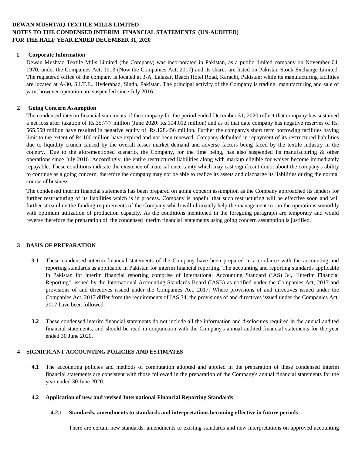### **DEWAN MUSHTAQ TEXTILE MILLS LIMITED NOTES TO THE CONDENSED INTERIM FINANCIAL STATEMENTS (UN-AUDITED) FOR THE HALF YEAR ENDED DECEMBER 31, 2020**

#### **1. Corporate Information**

Dewan Mushtaq Textile Mills Limited (the Company) was incorporated in Pakistan, as a public limited company on November 04, 1970, under the Companies Act, 1913 (Now the Companies Act, 2017) and its shares are listed on Pakistan Stock Exchange Limited. The registered office of the company is located at 3-A, Lalazar, Beach Hotel Road, Karachi, Pakistan; while its manufacturing facilities are located at A-30, S.I.T.E., Hyderabad, Sindh, Pakistan. The principal activity of the Company is trading, manufacturing and sale of yarn, however operation are suspended since July 2016.

#### **2 Going Concern Assumption**

The condensed interim financial statements of the company for the period ended December 31, 2020 reflect that company has sustained a net loss after taxation of Rs.35.777 million (June 2020: Rs.104.012 million) and as of that date company has negative reserves of Rs. 565.559 million have resulted in negative equity of Rs.128.456 million. Further the company's short term borrowing facilities having limit to the extent of Rs.100 million have expired and not been renewed. Company defaulted in repayment of its restructured liabilities due to liquidity crunch caused by the overall lesser market demand and adverse factors being faced by the textile industry in the country. Due to the aforementioned scenario, the Company, for the time being, has also suspended its manufacturing & other operations since July 2016 Accordingly, the entire restructured liabilities along with markup eligible for waiver become immediately repayable. These conditions indicate the existence of material uncertainty which may cast significant doubt about the company's ability to continue as a going concern, therefore the company may not be able to realize its assets and discharge its liabilities during the normal course of business.

The condensed interim financial statements has been prepared on going concern assumption as the Company approached its lenders for further restructuring of its liabilities which is in process. Company is hopeful that such restructuring will be effective soon and will further streamline the funding requirements of the Company which will ultimately help the management to run the operations smoothly with optimum utilization of production capacity. As the conditions mentioned in the foregoing paragraph are temporary and would reverse therefore the preparation of the condensed interim financial statements using going concern assumption is justified.

#### **3 BASIS OF PREPARATION**

- **3.1** These condensed interim financial statements of the Company have been prepared in accordance with the accounting and reporting standards as applicable in Pakistan for interim financial reporting. The accounting and reporting standards applicable in Pakistan for interim financial reporting comprise of International Accounting Standard (IAS) 34, "Interim Financial Reporting", issued by the International Accounting Standards Board (IASB) as notified under the Companies Act, 2017 and provisions of and directives issued under the Companies Act, 2017. Where provisions of and directives issued under the Companies Act, 2017 differ from the requirements of IAS 34, the provisions of and directives issued under the Companies Act, 2017 have been followed.
- **3.2** These condensed interim financial statements do not include all the information and disclosures required in the annual audited financial statements, and should be read in conjunction with the Company's annual audited financial statements for the year ended 30 June 2020.

#### **4 SIGNIFICANT ACCOUNTING POLICIES AND ESTIMATES**

**4.1** The accounting policies and methods of computation adopted and applied in the preparation of these condensed interim financial statements are consistent with those followed in the preparation of the Company's annual financial statements for the year ended 30 June 2020.

#### **4.2 Application of new and revised International Financial Reporting Standards**

#### **4.2.1 Standards, amendments to standards and interpretations becoming effective in future periods**

There are certain new standards, amendments to existing standards and new interpretations on approved accounting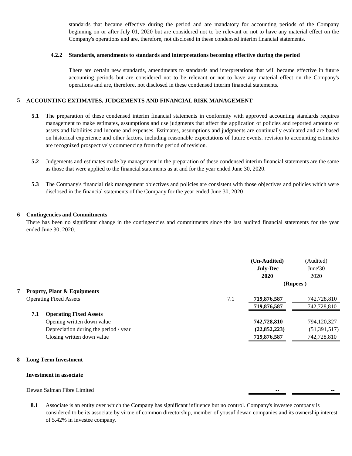standards that became effective during the period and are mandatory for accounting periods of the Company beginning on or after July 01, 2020 but are considered not to be relevant or not to have any material effect on the Company's operations and are, therefore, not disclosed in these condensed interim financial statements.

#### **4.2.2 Standards, amendments to standards and interpretations becoming effective during the period**

There are certain new standards, amendments to standards and interpretations that will became effective in future accounting periods but are considered not to be relevant or not to have any material effect on the Company's operations and are, therefore, not disclosed in these condensed interim financial statements.

#### **5 ACCOUNTING EXTIMATES, JUDGEMENTS AND FINANCIAL RISK MANAGEMENT**

- **5.1** The preparation of these condensed interim financial statements in conformity with approved accounting standards requires management to make estimates, assumptions and use judgments that affect the application of policies and reported amounts of assets and liabilities and income and expenses. Estimates, assumptions and judgments are continually evaluated and are based on historical experience and other factors, including reasonable expectations of future events. revision to accounting estimates are recognized prospectively commencing from the period of revision.
- **5.2** Judgements and estimates made by management in the preparation of these condensed interim financial statements are the same as those that were applied to the financial statements as at and for the year ended June 30, 2020.
- **5.3** The Company's financial risk management objectives and policies are consistent with those objectives and policies which were disclosed in the financial statements of the Company for the year ended June 30, 2020

#### **6 Contingencies and Commitments**

There has been no significant change in the contingencies and commitments since the last audited financial statements for the year ended June 30, 2020.

|     |                                        |     | (Un-Audited)<br><b>July-Dec</b><br>2020 | (Audited)<br>June $30$<br>2020 |
|-----|----------------------------------------|-----|-----------------------------------------|--------------------------------|
|     |                                        |     |                                         | (Rupees)                       |
|     | <b>Proprty, Plant &amp; Equipments</b> |     |                                         |                                |
|     | <b>Operating Fixed Assets</b>          | 7.1 | 719,876,587                             | 742,728,810                    |
|     |                                        |     | 719,876,587                             | 742,728,810                    |
| 7.1 | <b>Operating Fixed Assets</b>          |     |                                         |                                |
|     | Opening written down value             |     | 742,728,810                             | 794,120,327                    |
|     | Depreciation during the period / year  |     | (22, 852, 223)                          | (51, 391, 517)                 |
|     | Closing written down value             |     | 719,876,587                             | 742,728,810                    |
|     |                                        |     |                                         |                                |

#### **8 Long Term Investment**

#### **Investment in associate**

### Dewan Salman Fibre Limited

**8.1** Associate is an entity over which the Company has significant influence but no control. Company's investee company is considered to be its associate by virtue of common directorship, member of yousuf dewan companies and its ownership interest of 5.42% in investee company.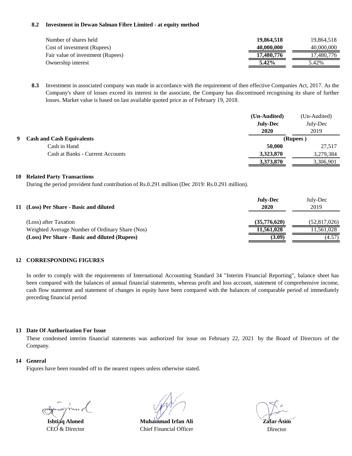#### **8.2 Investment in Dewan Salman Fibre Limited - at equity method**

| Number of shares held             | 19,864,518 | 19.864.518 |
|-----------------------------------|------------|------------|
| Cost of investment (Rupees)       | 40,000,000 | 40,000,000 |
| Fair value of investment (Rupees) | 17,480,776 | 17,480,776 |
| Ownership interest                | $5.42\%$   | 5.42%      |

**8.3** Investment in associated company was made in accordance with the requirement of then effective Companies Act, 2017. As the Company's share of losses exceed its interest in the associate, the Company has discontinued recognising its share of further losses. Market value is based on last available quoted price as of February 19, 2018.

|   |                                  | (Un-Audited)    | (Un-Audited) |
|---|----------------------------------|-----------------|--------------|
|   |                                  | <b>July-Dec</b> | July-Dec     |
|   |                                  | 2020            | 2019         |
| 9 | <b>Cash and Cash Equivalents</b> |                 | (Rupees)     |
|   | Cash in Hand                     | 50,000          | 27,517       |
|   | Cash at Banks - Current Accounts | 3,323,870       | 3,279,384    |
|   |                                  | 3,373,870       | 3,306,901    |

#### **10 Related Party Transactions**

During the period provident fund contribution of Rs.0.291 million (Dec 2019: Rs.0.291 million).

| 11 (Loss) Per Share - Basic and diluted         | <b>July-Dec</b><br>2020 | July-Dec<br>2019 |
|-------------------------------------------------|-------------------------|------------------|
| (Loss) after Taxation                           | (35,776,620)            | (52,817,026)     |
| Weighted Average Number of Ordinary Share (Nos) | 11,561,028              | 11.561.028       |
| (Loss) Per Share - Basic and diluted (Rupees)   | (3.09)                  | (4.57)           |

#### **12 CORRESPONDING FIGURES**

In order to comply with the requirements of International Accounting Standard 34 "Interim Financial Reporting", balance sheet has been compared with the balances of annual financial statements, whereas profit and loss account, statement of comprehensive income, cash flow statement and statement of changes in equity have been compared with the balances of comparable period of immediately preceding financial period

#### **13 Date Of Authorization For Issue**

These condensed interim financial statements was authorized for issue on February 22, 2021 by the Board of Directors of the Company.

#### **14 General**

Fiqures have been rounded off to the nearest rupees unless otherwise stated.

**Ishtiaq Ahmed** CEO & Director

**Muhammad Irfan Ali** Chief Financial Officer

**Zafar Asim** Director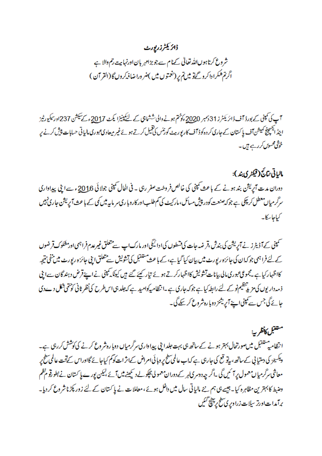# ڈائریکٹرزرپورٹ

شروع کرتا ہوںاللہ تعالیٰ کےنا م سے جو بڑامہر بان اورنہا ہت رحم والا ہے اگر تم همکرا داکر و گےتو میں تم پر (نغمتوں میں )ضر ورا ضافہ کروں گا (القر آن )

آپ کی کمپنی کے بورڈ آف ڈائر یکٹرز 31 دسمبر 2020ءکوختم ہونے والی ششاہی کے لئے کپنیزا یکٹ 2017ء کے سیکش 237اور سکیورٹیز ابیڈ ایکسچینج کمیش آف با کستان کے جاری کر دہ کوڈ آف کار پور بیٹ کورنٹس کی تھیل کرتے ہوئے غیر میعادی عبوری مالیاتی حسابات پیش کرنے پر خوشی محسوں کر رہے ہیں۔

# مالياتي نتائج (ڤيڪثري بند):

دوران مدت آپریشن بند ہونے کے باعث کمپنی کی خالص فروخت صفر رہی ۔ فی الحال کمپنی جولائی 2016ء سے اپنی پیداواری سرگرمیاں معطل کر چکی ہے جوکہ صنعت کودر پیش مسائل، مارکیٹ کی کم طلب!ور کاروبا ری سر ماہیہ میں کمی کے با عث آپریشن جاری نہیں کیاجاسکا۔

سمپنی کے آڈیٹرز نے آپریشن کی بندش ،قر ضہ جات کی قسطوں کی ا دائیگی اور مارک اپ سے متعلق غیر عدم فراہمی اور مشکوک قرضوں کے لئے فراہمی جو کہان کی جائزہ رپورٹ میں بیان کیا گیا ہے، کے باعث ستنقبل کی تشویش سے متعلق ایں جائزہ رپورٹ میں منفی نتیجہ کااظہار کیاہے ۔مجموعی عبوری مالی بیانات تشویش کااظہارکرتے ہوئے تیار کیئے گئے ہیں کیونکہ کمپنی نے اپنے قرض دہند گان سےابی ذ مہ دار یوں کی مزید تنظیم نو کے لئے رابطہ کیا ہے جو کہ جاری ہے ۔انتظامیہ کوامید ہے کہ جلد ہی اس طرح کی نظر ثانی کوحتمی شکل دےدی جائے گی جس سے کمپنی اپنے آپریشنز دوبا رہ شرو*ع کر سکے* گی۔

متعقبل كأنظريه ا نظامیہ ستقبل میںصورتحال بہتر ہونے کے ساتھ ہی بہت جلدا بی پیدا داری سرگرمیاں دوبا رہ شروع کرنے کی کوشش کررہی ہے۔ ویکسیز کی دستیا پی کے ساتھ، بیڈو قع کی جارہی ہے کہاب عالمی سطح پر وہائی امراض کےاثر ات کو کم کیاجا ئے گااوراس کےتحت عالمی سطح پر معاشی سرگرمیاں معمول پر آئیں گی ۔اگر چہ دوسر کیاہر کے دوران معمولی پچکولے دیکھنے میں آئے ،لیکن پورے پا کستان نے بطورقو مظم وضبط کا بہترین مظاہرہ کیا۔جیسے ہی ہم نئے مالیاتی سال میں داخل ہوئے ، معاملات نے پا کستان کے لئے زور پکڑنا شروع کر دیا۔ برآمدات اورتر سیلات زرا ویری سطح پر پنج گئیں